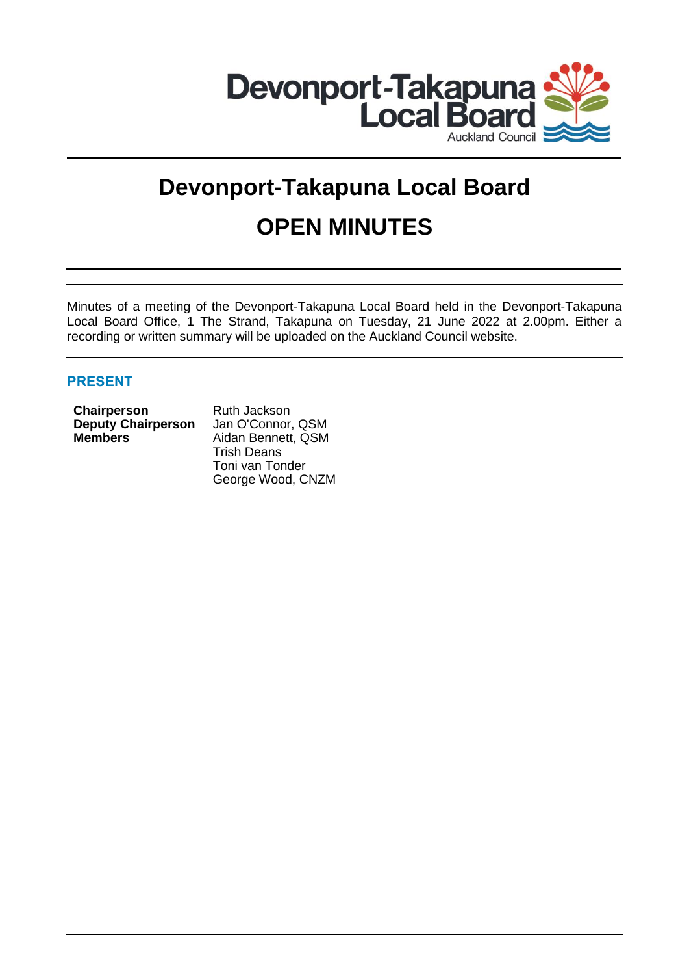

# **Devonport-Takapuna Local Board OPEN MINUTES**

Minutes of a meeting of the Devonport-Takapuna Local Board held in the Devonport-Takapuna Local Board Office, 1 The Strand, Takapuna on Tuesday, 21 June 2022 at 2.00pm. Either a recording or written summary will be uploaded on the Auckland Council website.

# **PRESENT**

| Chairperson               |  |
|---------------------------|--|
| <b>Deputy Chairperson</b> |  |
| <b>Members</b>            |  |

**Chairperson** Ruth Jackson Jan O'Connor, QSM **Members** Aidan Bennett, QSM Trish Deans Toni van Tonder George Wood, CNZM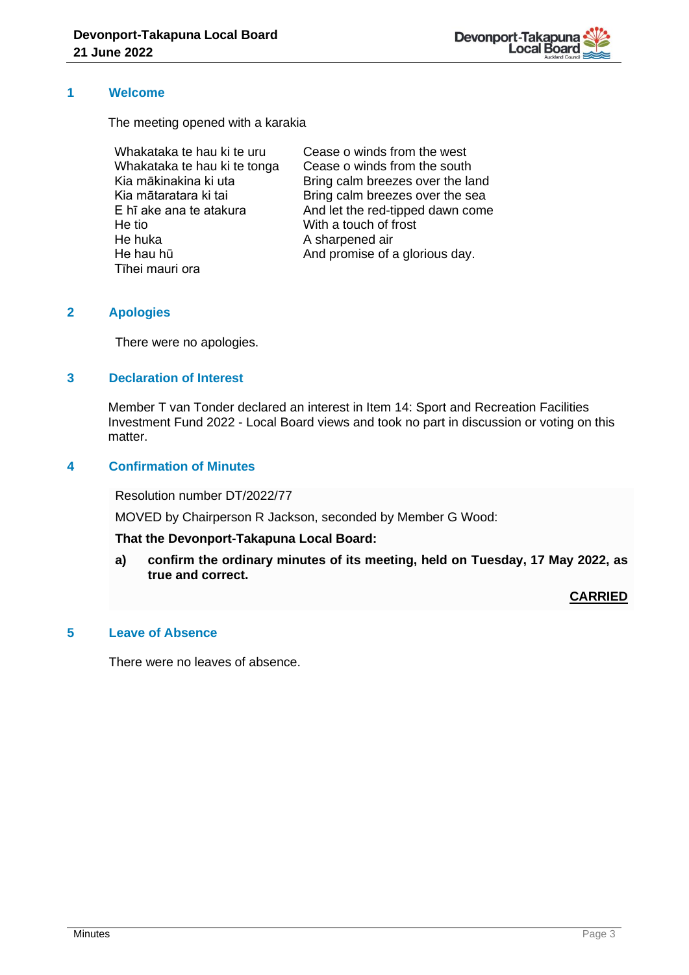

## **1 Welcome**

The meeting opened with a karakia

Whakataka te hau ki te uru Whakataka te hau ki te tonga Kia mākinakina ki uta Kia mātaratara ki tai E hī ake ana te atakura He tio He huka He hau hū Tīhei mauri ora

Cease o winds from the west Cease o winds from the south Bring calm breezes over the land Bring calm breezes over the sea And let the red-tipped dawn come With a touch of frost A sharpened air And promise of a glorious day.

# **2 Apologies**

There were no apologies.

# **3 Declaration of Interest**

Member T van Tonder declared an interest in Item 14: Sport and Recreation Facilities Investment Fund 2022 - Local Board views and took no part in discussion or voting on this matter.

## **4 Confirmation of Minutes**

Resolution number DT/2022/77

MOVED by Chairperson R Jackson, seconded by Member G Wood:

## **That the Devonport-Takapuna Local Board:**

**a) confirm the ordinary minutes of its meeting, held on Tuesday, 17 May 2022, as true and correct.**

## **CARRIED**

## **5 Leave of Absence**

There were no leaves of absence.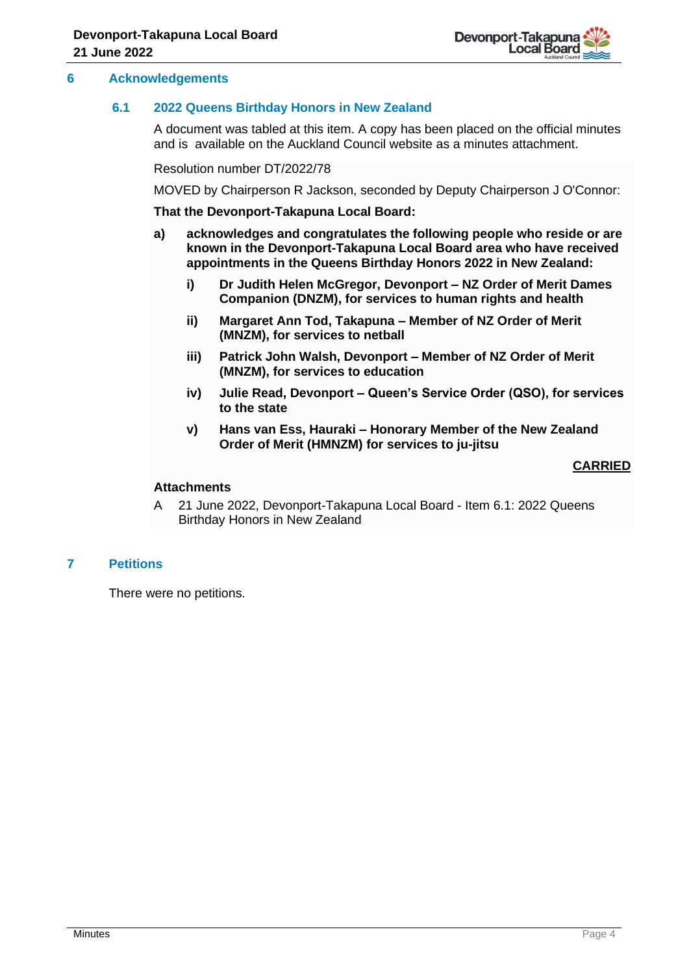

## **6 Acknowledgements**

## **6.1 2022 Queens Birthday Honors in New Zealand**

A document was tabled at this item. A copy has been placed on the official minutes and is available on the Auckland Council website as a minutes attachment.

Resolution number DT/2022/78

MOVED by Chairperson R Jackson, seconded by Deputy Chairperson J O'Connor:

**That the Devonport-Takapuna Local Board:**

- **a) acknowledges and congratulates the following people who reside or are known in the Devonport-Takapuna Local Board area who have received appointments in the Queens Birthday Honors 2022 in New Zealand:** 
	- **i) Dr Judith Helen McGregor, Devonport – NZ Order of Merit Dames Companion (DNZM), for services to human rights and health**
	- **ii) Margaret Ann Tod, Takapuna – Member of NZ Order of Merit (MNZM), for services to netball**
	- **iii) Patrick John Walsh, Devonport – Member of NZ Order of Merit (MNZM), for services to education**
	- **iv) Julie Read, Devonport – Queen's Service Order (QSO), for services to the state**
	- **v) Hans van Ess, Hauraki – Honorary Member of the New Zealand Order of Merit (HMNZM) for services to ju-jitsu**

## **CARRIED**

#### **Attachments**

A 21 June 2022, Devonport-Takapuna Local Board - Item 6.1: 2022 Queens Birthday Honors in New Zealand

# **7 Petitions**

There were no petitions.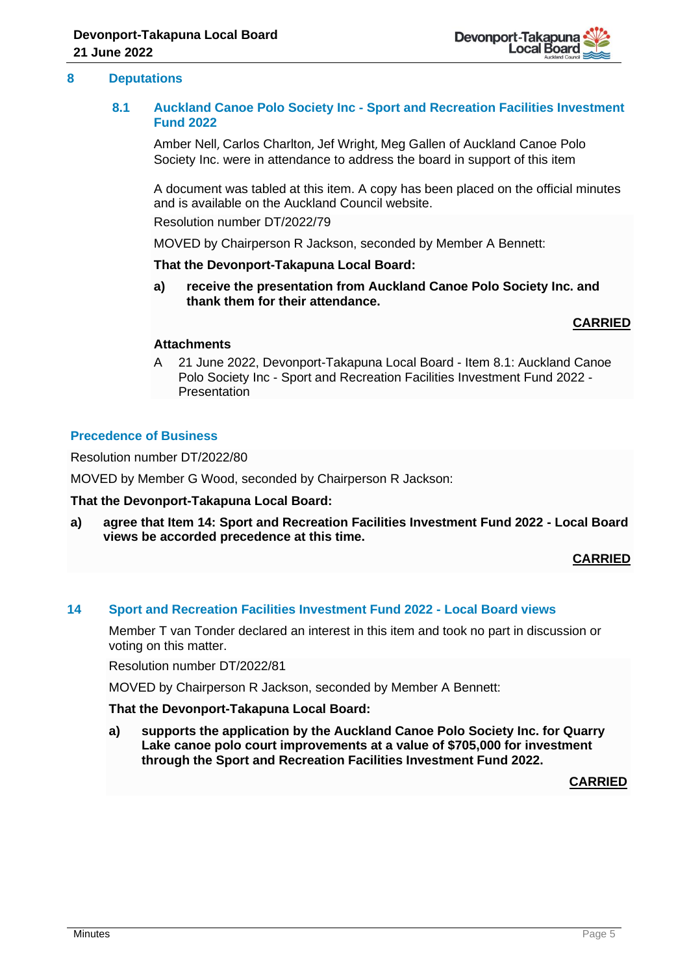

## **8 Deputations**

## **8.1 Auckland Canoe Polo Society Inc - Sport and Recreation Facilities Investment Fund 2022**

Amber Nell, Carlos Charlton, Jef Wright, Meg Gallen of Auckland Canoe Polo Society Inc. were in attendance to address the board in support of this item

A document was tabled at this item. A copy has been placed on the official minutes and is available on the Auckland Council website.

Resolution number DT/2022/79

MOVED by Chairperson R Jackson, seconded by Member A Bennett:

#### **That the Devonport-Takapuna Local Board:**

**a) receive the presentation from Auckland Canoe Polo Society Inc. and thank them for their attendance.**

## **CARRIED**

#### **Attachments**

A 21 June 2022, Devonport-Takapuna Local Board - Item 8.1: Auckland Canoe Polo Society Inc - Sport and Recreation Facilities Investment Fund 2022 - Presentation

## **Precedence of Business**

Resolution number DT/2022/80

MOVED by Member G Wood, seconded by Chairperson R Jackson:

## **That the Devonport-Takapuna Local Board:**

**a) agree that Item 14: Sport and Recreation Facilities Investment Fund 2022 - Local Board views be accorded precedence at this time.**

**CARRIED**

## **14 Sport and Recreation Facilities Investment Fund 2022 - Local Board views**

Member T van Tonder declared an interest in this item and took no part in discussion or voting on this matter.

Resolution number DT/2022/81

MOVED by Chairperson R Jackson, seconded by Member A Bennett:

## **That the Devonport-Takapuna Local Board:**

**a) supports the application by the Auckland Canoe Polo Society Inc. for Quarry Lake canoe polo court improvements at a value of \$705,000 for investment through the Sport and Recreation Facilities Investment Fund 2022.**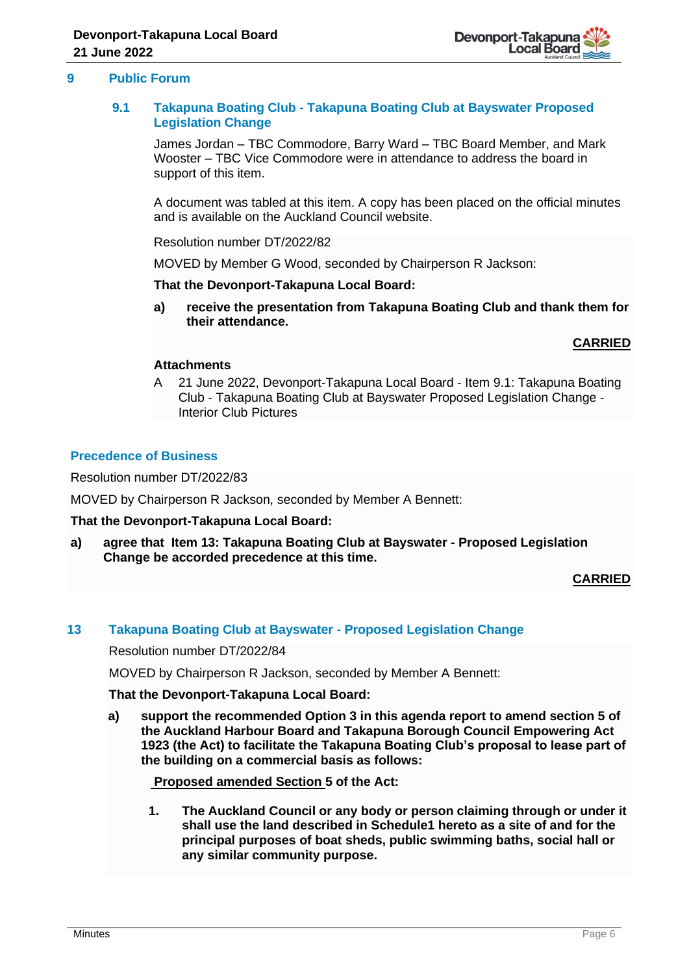

## **9 Public Forum**

## **9.1 Takapuna Boating Club - Takapuna Boating Club at Bayswater Proposed Legislation Change**

James Jordan – TBC Commodore, Barry Ward – TBC Board Member, and Mark Wooster – TBC Vice Commodore were in attendance to address the board in support of this item.

A document was tabled at this item. A copy has been placed on the official minutes and is available on the Auckland Council website.

Resolution number DT/2022/82

MOVED by Member G Wood, seconded by Chairperson R Jackson:

**That the Devonport-Takapuna Local Board:**

**a) receive the presentation from Takapuna Boating Club and thank them for their attendance.** 

**CARRIED**

## **Attachments**

A 21 June 2022, Devonport-Takapuna Local Board - Item 9.1: Takapuna Boating Club - Takapuna Boating Club at Bayswater Proposed Legislation Change - Interior Club Pictures

## **Precedence of Business**

Resolution number DT/2022/83

MOVED by Chairperson R Jackson, seconded by Member A Bennett:

## **That the Devonport-Takapuna Local Board:**

**a) agree that Item 13: Takapuna Boating Club at Bayswater - Proposed Legislation Change be accorded precedence at this time.**

**CARRIED**

## **13 Takapuna Boating Club at Bayswater - Proposed Legislation Change**

Resolution number DT/2022/84

MOVED by Chairperson R Jackson, seconded by Member A Bennett:

**That the Devonport-Takapuna Local Board:**

**a) support the recommended Option 3 in this agenda report to amend section 5 of the Auckland Harbour Board and Takapuna Borough Council Empowering Act 1923 (the Act) to facilitate the Takapuna Boating Club's proposal to lease part of the building on a commercial basis as follows:**

**Proposed amended Section 5 of the Act:**

**1. The Auckland Council or any body or person claiming through or under it shall use the land described in Schedule1 hereto as a site of and for the principal purposes of boat sheds, public swimming baths, social hall or any similar community purpose.**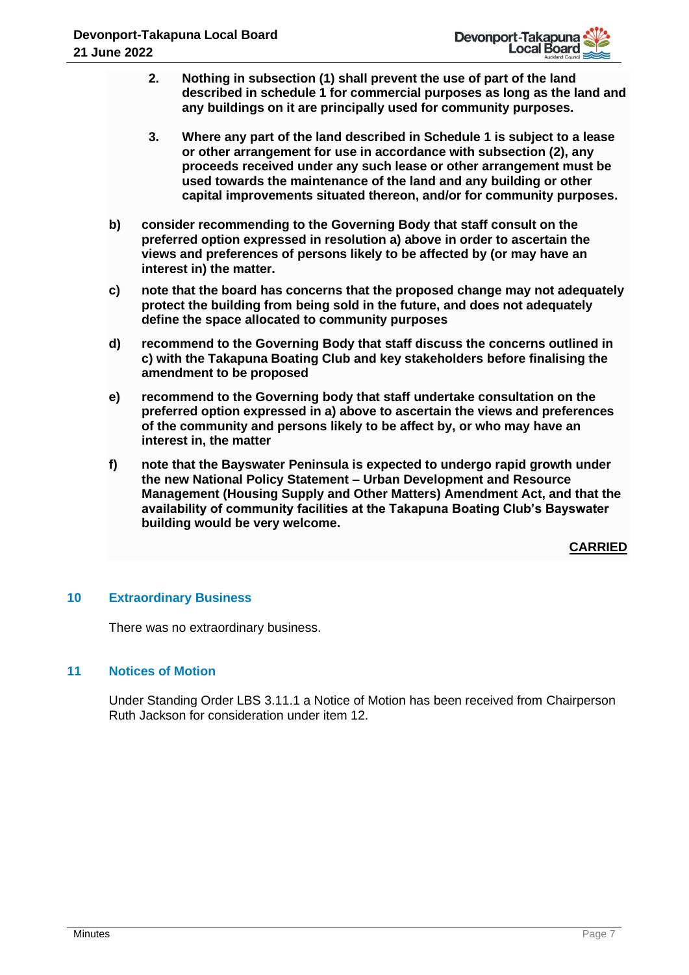- **2. Nothing in subsection (1) shall prevent the use of part of the land described in schedule 1 for commercial purposes as long as the land and any buildings on it are principally used for community purposes.**
- **3. Where any part of the land described in Schedule 1 is subject to a lease or other arrangement for use in accordance with subsection (2), any proceeds received under any such lease or other arrangement must be used towards the maintenance of the land and any building or other capital improvements situated thereon, and/or for community purposes.**
- **b) consider recommending to the Governing Body that staff consult on the preferred option expressed in resolution a) above in order to ascertain the views and preferences of persons likely to be affected by (or may have an interest in) the matter.**
- **c) note that the board has concerns that the proposed change may not adequately protect the building from being sold in the future, and does not adequately define the space allocated to community purposes**
- **d) recommend to the Governing Body that staff discuss the concerns outlined in c) with the Takapuna Boating Club and key stakeholders before finalising the amendment to be proposed**
- **e) recommend to the Governing body that staff undertake consultation on the preferred option expressed in a) above to ascertain the views and preferences of the community and persons likely to be affect by, or who may have an interest in, the matter**
- **f) note that the Bayswater Peninsula is expected to undergo rapid growth under the new National Policy Statement – Urban Development and Resource Management (Housing Supply and Other Matters) Amendment Act, and that the availability of community facilities at the Takapuna Boating Club's Bayswater building would be very welcome.**

# **10 Extraordinary Business**

There was no extraordinary business.

# **11 Notices of Motion**

Under Standing Order LBS 3.11.1 a Notice of Motion has been received from Chairperson Ruth Jackson for consideration under item 12.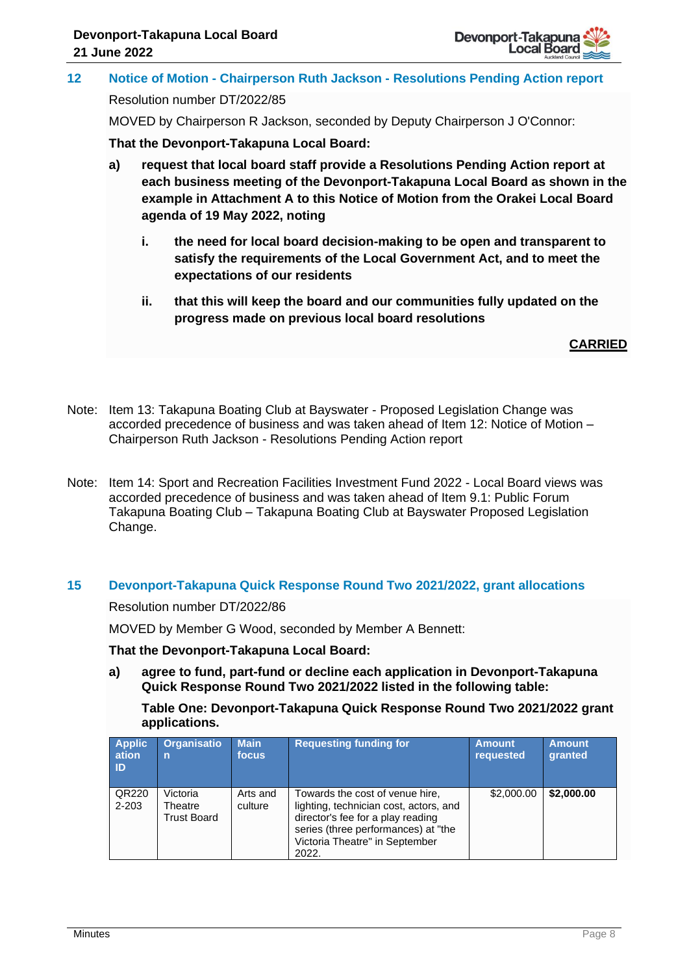

**12 Notice of Motion - Chairperson Ruth Jackson - Resolutions Pending Action report** Resolution number DT/2022/85

MOVED by Chairperson R Jackson, seconded by Deputy Chairperson J O'Connor:

**That the Devonport-Takapuna Local Board:**

- **a) request that local board staff provide a Resolutions Pending Action report at each business meeting of the Devonport-Takapuna Local Board as shown in the example in Attachment A to this Notice of Motion from the Orakei Local Board agenda of 19 May 2022, noting**
	- **i. the need for local board decision-making to be open and transparent to satisfy the requirements of the Local Government Act, and to meet the expectations of our residents**
	- **ii. that this will keep the board and our communities fully updated on the progress made on previous local board resolutions**

**CARRIED**

- Note: Item 13: Takapuna Boating Club at Bayswater Proposed Legislation Change was accorded precedence of business and was taken ahead of Item 12: Notice of Motion – Chairperson Ruth Jackson - Resolutions Pending Action report
- Note: Item 14: Sport and Recreation Facilities Investment Fund 2022 Local Board views was accorded precedence of business and was taken ahead of Item 9.1: Public Forum Takapuna Boating Club – Takapuna Boating Club at Bayswater Proposed Legislation Change.

# **15 Devonport-Takapuna Quick Response Round Two 2021/2022, grant allocations**

Resolution number DT/2022/86

MOVED by Member G Wood, seconded by Member A Bennett:

**That the Devonport-Takapuna Local Board:**

**a) agree to fund, part-fund or decline each application in Devonport-Takapuna Quick Response Round Two 2021/2022 listed in the following table:** 

**Table One: Devonport-Takapuna Quick Response Round Two 2021/2022 grant applications.**

| <b>Applic</b><br>ation<br><b>ID</b> | <b>Organisatio</b><br>$\overline{p}$ | <b>Main</b><br>focus | <b>Requesting funding for</b>                                                                                                                                                                    | <b>Amount</b><br>requested | <b>Amount</b><br>granted |
|-------------------------------------|--------------------------------------|----------------------|--------------------------------------------------------------------------------------------------------------------------------------------------------------------------------------------------|----------------------------|--------------------------|
| QR220<br>2-203                      | Victoria<br>Theatre<br>Trust Board   | Arts and<br>culture  | Towards the cost of venue hire,<br>lighting, technician cost, actors, and<br>director's fee for a play reading<br>series (three performances) at "the<br>Victoria Theatre" in September<br>2022. | \$2,000.00                 | \$2,000.00               |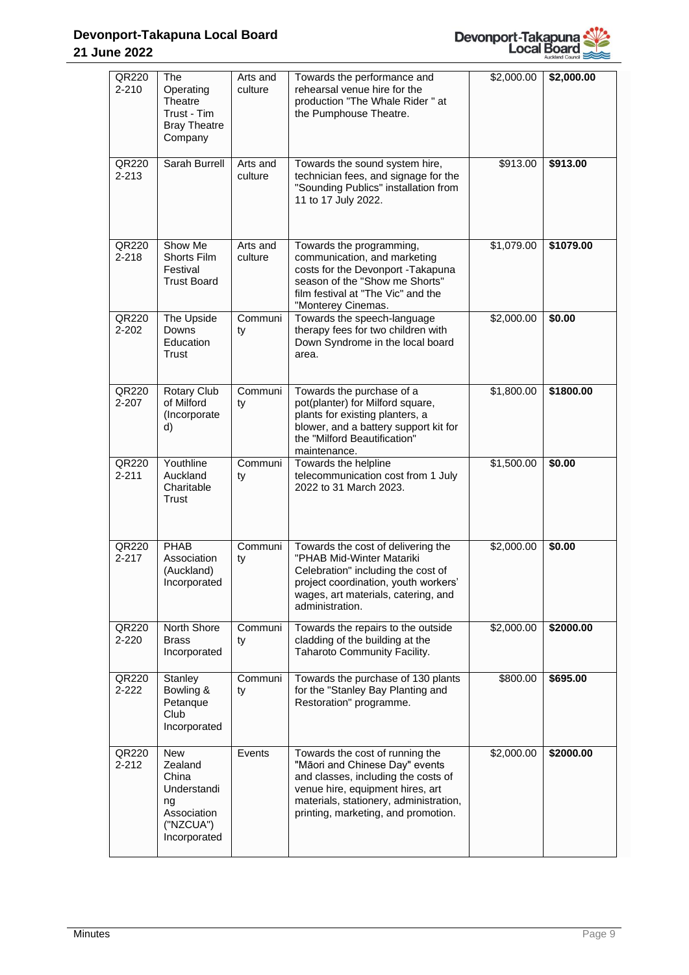

| QR220<br>$2 - 210$ | The<br>Operating<br>Theatre<br>Trust - Tim<br><b>Bray Theatre</b><br>Company                    | Arts and<br>culture | Towards the performance and<br>rehearsal venue hire for the<br>production "The Whale Rider" at<br>the Pumphouse Theatre.                                                                                                      | \$2,000.00 | \$2,000.00 |
|--------------------|-------------------------------------------------------------------------------------------------|---------------------|-------------------------------------------------------------------------------------------------------------------------------------------------------------------------------------------------------------------------------|------------|------------|
| QR220<br>$2 - 213$ | Sarah Burrell                                                                                   | Arts and<br>culture | Towards the sound system hire,<br>technician fees, and signage for the<br>"Sounding Publics" installation from<br>11 to 17 July 2022.                                                                                         | \$913.00   | \$913.00   |
| QR220<br>$2 - 218$ | Show Me<br>Shorts Film<br>Festival<br><b>Trust Board</b>                                        | Arts and<br>culture | Towards the programming,<br>communication, and marketing<br>costs for the Devonport -Takapuna<br>season of the "Show me Shorts"<br>film festival at "The Vic" and the<br>"Monterey Cinemas.                                   | \$1,079.00 | \$1079.00  |
| QR220<br>$2 - 202$ | The Upside<br>Downs<br>Education<br>Trust                                                       | Communi<br>ty       | Towards the speech-language<br>therapy fees for two children with<br>Down Syndrome in the local board<br>area.                                                                                                                | \$2,000.00 | \$0.00     |
| QR220<br>$2 - 207$ | Rotary Club<br>of Milford<br>(Incorporate<br>d)                                                 | Communi<br>ty       | Towards the purchase of a<br>pot(planter) for Milford square,<br>plants for existing planters, a<br>blower, and a battery support kit for<br>the "Milford Beautification"<br>maintenance.                                     | \$1,800.00 | \$1800.00  |
| QR220<br>$2 - 211$ | Youthline<br>Auckland<br>Charitable<br>Trust                                                    | Communi<br>ty       | Towards the helpline<br>telecommunication cost from 1 July<br>2022 to 31 March 2023.                                                                                                                                          | \$1,500.00 | \$0.00     |
| QR220<br>$2 - 217$ | PHAB<br>Association<br>(Auckland)<br>Incorporated                                               | Communi<br>ty       | Towards the cost of delivering the<br>"PHAB Mid-Winter Matariki<br>Celebration" including the cost of<br>project coordination, youth workers'<br>wages, art materials, catering, and<br>administration.                       | \$2,000.00 | \$0.00     |
| QR220<br>$2 - 220$ | North Shore<br><b>Brass</b><br>Incorporated                                                     | Communi<br>ty       | Towards the repairs to the outside<br>cladding of the building at the<br>Taharoto Community Facility.                                                                                                                         | \$2,000.00 | \$2000.00  |
| QR220<br>$2 - 222$ | Stanley<br>Bowling &<br>Petanque<br>Club<br>Incorporated                                        | Communi<br>ty       | Towards the purchase of 130 plants<br>for the "Stanley Bay Planting and<br>Restoration" programme.                                                                                                                            | \$800.00   | \$695.00   |
| QR220<br>$2 - 212$ | <b>New</b><br>Zealand<br>China<br>Understandi<br>ng<br>Association<br>("NZCUA")<br>Incorporated | Events              | Towards the cost of running the<br>"Māori and Chinese Day" events<br>and classes, including the costs of<br>venue hire, equipment hires, art<br>materials, stationery, administration,<br>printing, marketing, and promotion. | \$2,000.00 | \$2000.00  |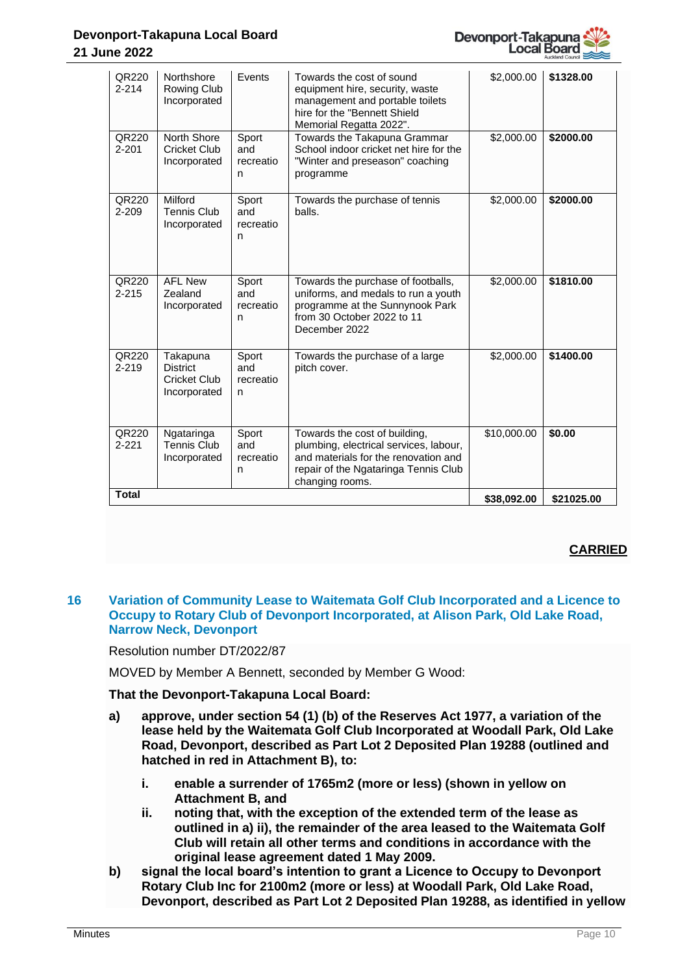

## **Devonport-Takapuna Local Board 21 June 2022**

| QR220<br>$2 - 214$ | Northshore<br>Rowing Club<br>Incorporated                          | Events                         | Towards the cost of sound<br>equipment hire, security, waste<br>management and portable toilets<br>hire for the "Bennett Shield<br>Memorial Regatta 2022".                 | \$2,000.00  | \$1328.00  |
|--------------------|--------------------------------------------------------------------|--------------------------------|----------------------------------------------------------------------------------------------------------------------------------------------------------------------------|-------------|------------|
| QR220<br>$2 - 201$ | North Shore<br><b>Cricket Club</b><br>Incorporated                 | Sport<br>and<br>recreatio<br>n | Towards the Takapuna Grammar<br>School indoor cricket net hire for the<br>"Winter and preseason" coaching<br>programme                                                     | \$2,000.00  | \$2000.00  |
| QR220<br>$2 - 209$ | Milford<br><b>Tennis Club</b><br>Incorporated                      | Sport<br>and<br>recreatio<br>n | Towards the purchase of tennis<br>balls.                                                                                                                                   | \$2,000.00  | \$2000.00  |
| QR220<br>$2 - 215$ | <b>AFL New</b><br>Zealand<br>Incorporated                          | Sport<br>and<br>recreatio<br>n | Towards the purchase of footballs,<br>uniforms, and medals to run a youth<br>programme at the Sunnynook Park<br>from 30 October 2022 to 11<br>December 2022                | \$2,000.00  | \$1810.00  |
| QR220<br>$2 - 219$ | Takapuna<br><b>District</b><br><b>Cricket Club</b><br>Incorporated | Sport<br>and<br>recreatio<br>n | Towards the purchase of a large<br>pitch cover.                                                                                                                            | \$2,000.00  | \$1400.00  |
| QR220<br>$2 - 221$ | Ngataringa<br><b>Tennis Club</b><br>Incorporated                   | Sport<br>and<br>recreatio<br>n | Towards the cost of building,<br>plumbing, electrical services, labour,<br>and materials for the renovation and<br>repair of the Ngataringa Tennis Club<br>changing rooms. | \$10,000.00 | \$0.00     |
| <b>Total</b>       |                                                                    |                                |                                                                                                                                                                            | \$38,092.00 | \$21025.00 |

# **CARRIED**

## **16 Variation of Community Lease to Waitemata Golf Club Incorporated and a Licence to Occupy to Rotary Club of Devonport Incorporated, at Alison Park, Old Lake Road, Narrow Neck, Devonport**

Resolution number DT/2022/87

MOVED by Member A Bennett, seconded by Member G Wood:

- **a) approve, under section 54 (1) (b) of the Reserves Act 1977, a variation of the lease held by the Waitemata Golf Club Incorporated at Woodall Park, Old Lake Road, Devonport, described as Part Lot 2 Deposited Plan 19288 (outlined and hatched in red in Attachment B), to:** 
	- **i. enable a surrender of 1765m2 (more or less) (shown in yellow on Attachment B, and**
	- **ii. noting that, with the exception of the extended term of the lease as outlined in a) ii), the remainder of the area leased to the Waitemata Golf Club will retain all other terms and conditions in accordance with the original lease agreement dated 1 May 2009.**
- **b) signal the local board's intention to grant a Licence to Occupy to Devonport Rotary Club Inc for 2100m2 (more or less) at Woodall Park, Old Lake Road, Devonport, described as Part Lot 2 Deposited Plan 19288, as identified in yellow**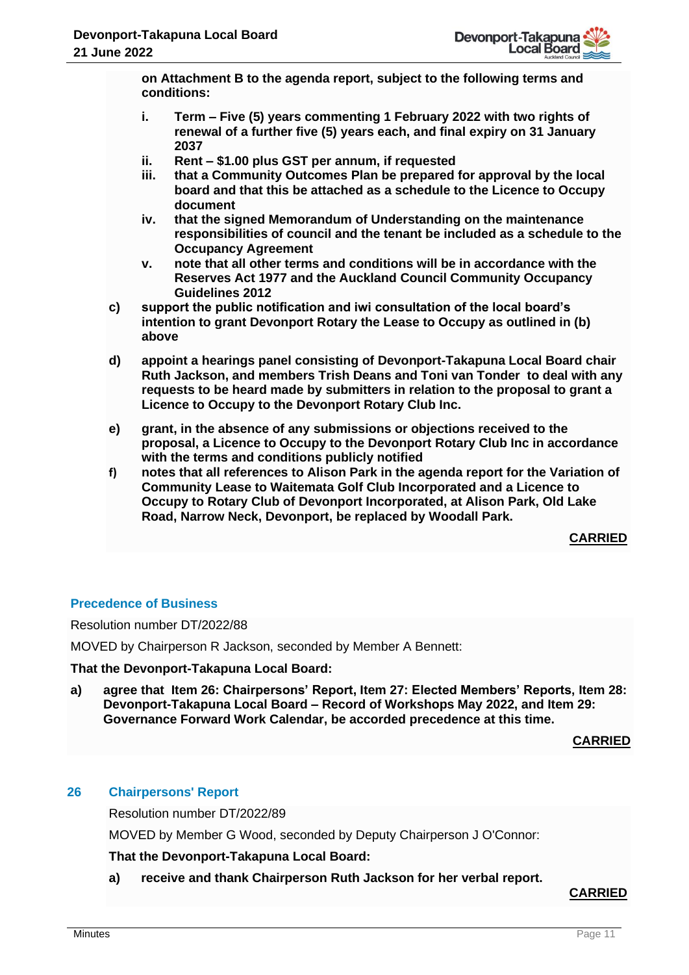**on Attachment B to the agenda report, subject to the following terms and conditions:**

- **i. Term – Five (5) years commenting 1 February 2022 with two rights of renewal of a further five (5) years each, and final expiry on 31 January 2037**
- **ii. Rent – \$1.00 plus GST per annum, if requested**
- **iii. that a Community Outcomes Plan be prepared for approval by the local board and that this be attached as a schedule to the Licence to Occupy document**
- **iv. that the signed Memorandum of Understanding on the maintenance responsibilities of council and the tenant be included as a schedule to the Occupancy Agreement**
- **v. note that all other terms and conditions will be in accordance with the Reserves Act 1977 and the Auckland Council Community Occupancy Guidelines 2012**
- **c) support the public notification and iwi consultation of the local board's intention to grant Devonport Rotary the Lease to Occupy as outlined in (b) above**
- **d) appoint a hearings panel consisting of Devonport-Takapuna Local Board chair Ruth Jackson, and members Trish Deans and Toni van Tonder to deal with any requests to be heard made by submitters in relation to the proposal to grant a Licence to Occupy to the Devonport Rotary Club Inc.**
- **e) grant, in the absence of any submissions or objections received to the proposal, a Licence to Occupy to the Devonport Rotary Club Inc in accordance with the terms and conditions publicly notified**
- **f) notes that all references to Alison Park in the agenda report for the Variation of Community Lease to Waitemata Golf Club Incorporated and a Licence to Occupy to Rotary Club of Devonport Incorporated, at Alison Park, Old Lake Road, Narrow Neck, Devonport, be replaced by Woodall Park.**

**CARRIED**

# **Precedence of Business**

Resolution number DT/2022/88

MOVED by Chairperson R Jackson, seconded by Member A Bennett:

**That the Devonport-Takapuna Local Board:**

**a) agree that Item 26: Chairpersons' Report, Item 27: Elected Members' Reports, Item 28: Devonport-Takapuna Local Board – Record of Workshops May 2022, and Item 29: Governance Forward Work Calendar, be accorded precedence at this time.**

**CARRIED**

# **26 Chairpersons' Report**

Resolution number DT/2022/89

MOVED by Member G Wood, seconded by Deputy Chairperson J O'Connor:

**That the Devonport-Takapuna Local Board:**

**a) receive and thank Chairperson Ruth Jackson for her verbal report.**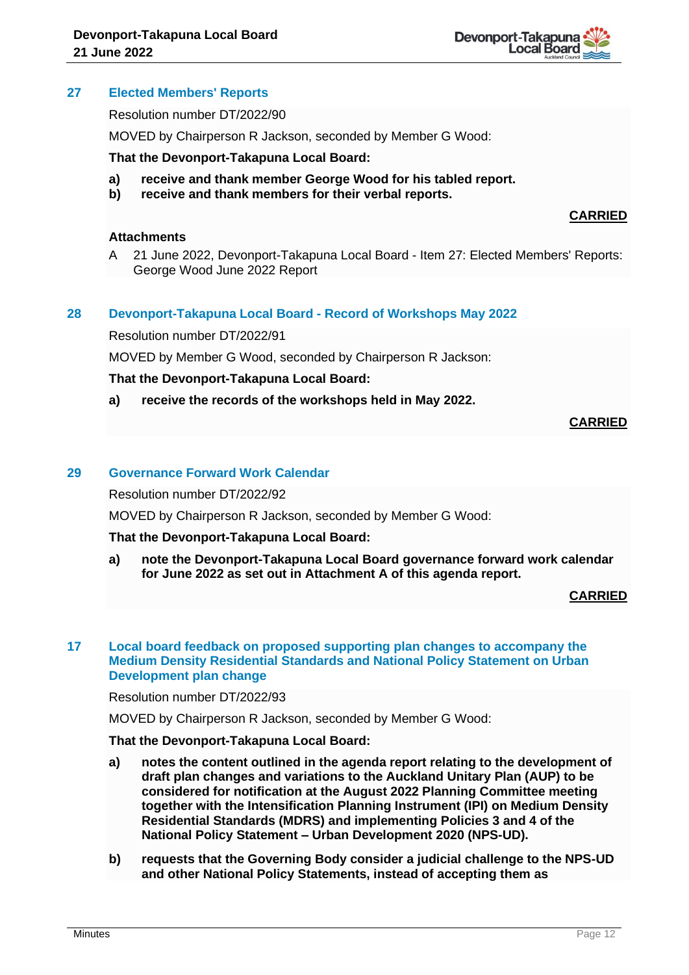

## **27 Elected Members' Reports**

Resolution number DT/2022/90

MOVED by Chairperson R Jackson, seconded by Member G Wood:

#### **That the Devonport-Takapuna Local Board:**

- **a) receive and thank member George Wood for his tabled report.**
- **b) receive and thank members for their verbal reports.**

#### **Attachments**

A 21 June 2022, Devonport-Takapuna Local Board - Item 27: Elected Members' Reports: George Wood June 2022 Report

#### **28 Devonport-Takapuna Local Board - Record of Workshops May 2022**

Resolution number DT/2022/91

MOVED by Member G Wood, seconded by Chairperson R Jackson:

#### **That the Devonport-Takapuna Local Board:**

**a) receive the records of the workshops held in May 2022.**

#### **CARRIED**

**CARRIED**

#### **29 Governance Forward Work Calendar**

Resolution number DT/2022/92

MOVED by Chairperson R Jackson, seconded by Member G Wood:

#### **That the Devonport-Takapuna Local Board:**

**a) note the Devonport-Takapuna Local Board governance forward work calendar for June 2022 as set out in Attachment A of this agenda report.**

## **CARRIED**

## **17 Local board feedback on proposed supporting plan changes to accompany the Medium Density Residential Standards and National Policy Statement on Urban Development plan change**

## Resolution number DT/2022/93

MOVED by Chairperson R Jackson, seconded by Member G Wood:

- **a) notes the content outlined in the agenda report relating to the development of draft plan changes and variations to the Auckland Unitary Plan (AUP) to be considered for notification at the August 2022 Planning Committee meeting together with the Intensification Planning Instrument (IPI) on Medium Density Residential Standards (MDRS) and implementing Policies 3 and 4 of the National Policy Statement – Urban Development 2020 (NPS-UD).**
- **b) requests that the Governing Body consider a judicial challenge to the NPS-UD and other National Policy Statements, instead of accepting them as**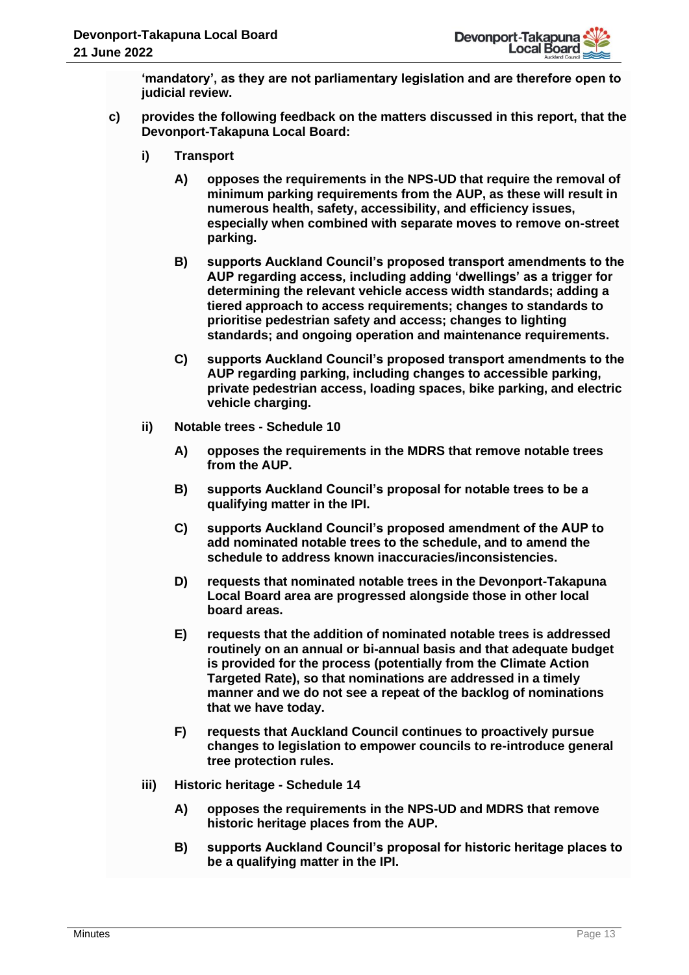**'mandatory', as they are not parliamentary legislation and are therefore open to judicial review.** 

- **c) provides the following feedback on the matters discussed in this report, that the Devonport-Takapuna Local Board:**
	- **i) Transport** 
		- **A) opposes the requirements in the NPS-UD that require the removal of minimum parking requirements from the AUP, as these will result in numerous health, safety, accessibility, and efficiency issues, especially when combined with separate moves to remove on-street parking.**
		- **B) supports Auckland Council's proposed transport amendments to the AUP regarding access, including adding 'dwellings' as a trigger for determining the relevant vehicle access width standards; adding a tiered approach to access requirements; changes to standards to prioritise pedestrian safety and access; changes to lighting standards; and ongoing operation and maintenance requirements.**
		- **C) supports Auckland Council's proposed transport amendments to the AUP regarding parking, including changes to accessible parking, private pedestrian access, loading spaces, bike parking, and electric vehicle charging.**
	- **ii) Notable trees - Schedule 10** 
		- **A) opposes the requirements in the MDRS that remove notable trees from the AUP.**
		- **B) supports Auckland Council's proposal for notable trees to be a qualifying matter in the IPI.**
		- **C) supports Auckland Council's proposed amendment of the AUP to add nominated notable trees to the schedule, and to amend the schedule to address known inaccuracies/inconsistencies.**
		- **D) requests that nominated notable trees in the Devonport-Takapuna Local Board area are progressed alongside those in other local board areas.**
		- **E) requests that the addition of nominated notable trees is addressed routinely on an annual or bi-annual basis and that adequate budget is provided for the process (potentially from the Climate Action Targeted Rate), so that nominations are addressed in a timely manner and we do not see a repeat of the backlog of nominations that we have today.**
		- **F) requests that Auckland Council continues to proactively pursue changes to legislation to empower councils to re-introduce general tree protection rules.**
	- **iii) Historic heritage - Schedule 14**
		- **A) opposes the requirements in the NPS-UD and MDRS that remove historic heritage places from the AUP.**
		- **B) supports Auckland Council's proposal for historic heritage places to be a qualifying matter in the IPI.**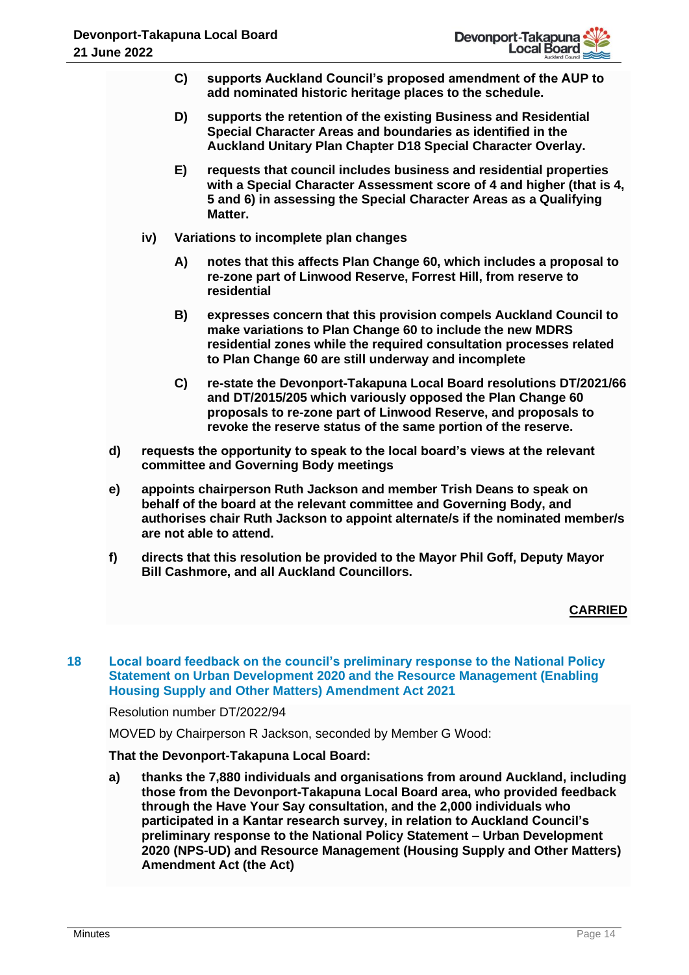- **C) supports Auckland Council's proposed amendment of the AUP to add nominated historic heritage places to the schedule.**
- **D) supports the retention of the existing Business and Residential Special Character Areas and boundaries as identified in the Auckland Unitary Plan Chapter D18 Special Character Overlay.**
- **E) requests that council includes business and residential properties with a Special Character Assessment score of 4 and higher (that is 4, 5 and 6) in assessing the Special Character Areas as a Qualifying Matter.**
- **iv) Variations to incomplete plan changes**
	- **A) notes that this affects Plan Change 60, which includes a proposal to re-zone part of Linwood Reserve, Forrest Hill, from reserve to residential**
	- **B) expresses concern that this provision compels Auckland Council to make variations to Plan Change 60 to include the new MDRS residential zones while the required consultation processes related to Plan Change 60 are still underway and incomplete**
	- **C) re-state the Devonport-Takapuna Local Board resolutions DT/2021/66 and DT/2015/205 which variously opposed the Plan Change 60 proposals to re-zone part of Linwood Reserve, and proposals to revoke the reserve status of the same portion of the reserve.**
- **d) requests the opportunity to speak to the local board's views at the relevant committee and Governing Body meetings**
- **e) appoints chairperson Ruth Jackson and member Trish Deans to speak on behalf of the board at the relevant committee and Governing Body, and authorises chair Ruth Jackson to appoint alternate/s if the nominated member/s are not able to attend.**
- **f) directs that this resolution be provided to the Mayor Phil Goff, Deputy Mayor Bill Cashmore, and all Auckland Councillors.**

**18 Local board feedback on the council's preliminary response to the National Policy Statement on Urban Development 2020 and the Resource Management (Enabling Housing Supply and Other Matters) Amendment Act 2021**

Resolution number DT/2022/94

MOVED by Chairperson R Jackson, seconded by Member G Wood:

# **That the Devonport-Takapuna Local Board:**

**a) thanks the 7,880 individuals and organisations from around Auckland, including those from the Devonport-Takapuna Local Board area, who provided feedback through the Have Your Say consultation, and the 2,000 individuals who participated in a Kantar research survey, in relation to Auckland Council's preliminary response to the National Policy Statement – Urban Development 2020 (NPS-UD) and Resource Management (Housing Supply and Other Matters) Amendment Act (the Act)**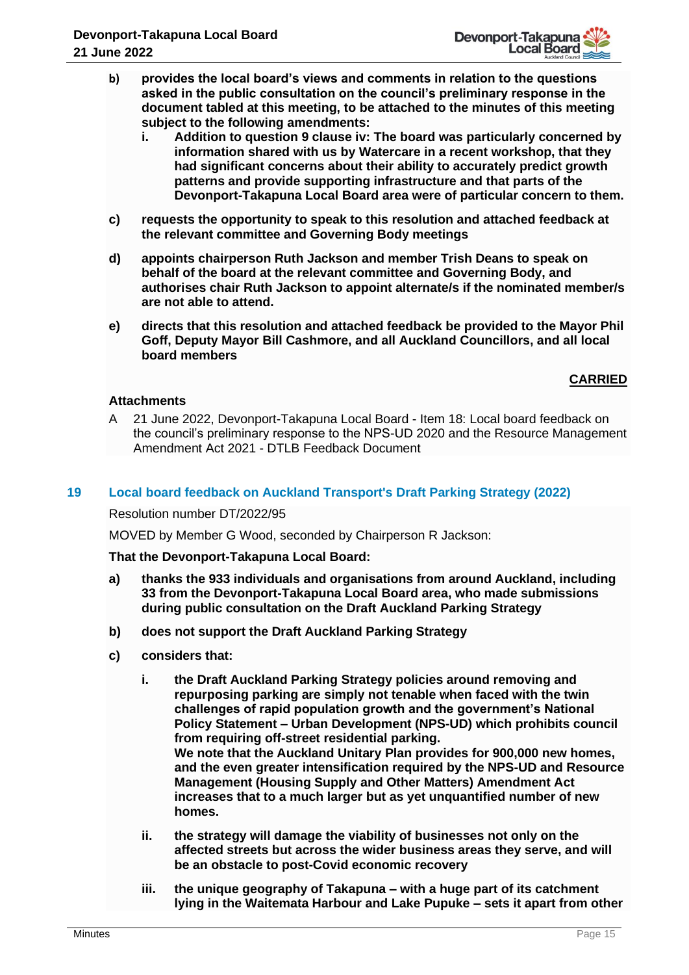- **b) provides the local board's views and comments in relation to the questions asked in the public consultation on the council's preliminary response in the document tabled at this meeting, to be attached to the minutes of this meeting subject to the following amendments:**
	- **i. Addition to question 9 clause iv: The board was particularly concerned by information shared with us by Watercare in a recent workshop, that they had significant concerns about their ability to accurately predict growth patterns and provide supporting infrastructure and that parts of the Devonport-Takapuna Local Board area were of particular concern to them.**
- **c) requests the opportunity to speak to this resolution and attached feedback at the relevant committee and Governing Body meetings**
- **d) appoints chairperson Ruth Jackson and member Trish Deans to speak on behalf of the board at the relevant committee and Governing Body, and authorises chair Ruth Jackson to appoint alternate/s if the nominated member/s are not able to attend.**
- **e) directs that this resolution and attached feedback be provided to the Mayor Phil Goff, Deputy Mayor Bill Cashmore, and all Auckland Councillors, and all local board members**

# **Attachments**

A 21 June 2022, Devonport-Takapuna Local Board - Item 18: Local board feedback on the council's preliminary response to the NPS-UD 2020 and the Resource Management Amendment Act 2021 - DTLB Feedback Document

## **19 Local board feedback on Auckland Transport's Draft Parking Strategy (2022)**

Resolution number DT/2022/95

MOVED by Member G Wood, seconded by Chairperson R Jackson:

- **a) thanks the 933 individuals and organisations from around Auckland, including 33 from the Devonport-Takapuna Local Board area, who made submissions during public consultation on the Draft Auckland Parking Strategy**
- **b) does not support the Draft Auckland Parking Strategy**
- **c) considers that:**
	- **i. the Draft Auckland Parking Strategy policies around removing and repurposing parking are simply not tenable when faced with the twin challenges of rapid population growth and the government's National Policy Statement – Urban Development (NPS-UD) which prohibits council from requiring off-street residential parking. We note that the Auckland Unitary Plan provides for 900,000 new homes, and the even greater intensification required by the NPS-UD and Resource Management (Housing Supply and Other Matters) Amendment Act increases that to a much larger but as yet unquantified number of new homes.**
	- **ii. the strategy will damage the viability of businesses not only on the affected streets but across the wider business areas they serve, and will be an obstacle to post-Covid economic recovery**
	- **iii. the unique geography of Takapuna – with a huge part of its catchment lying in the Waitemata Harbour and Lake Pupuke – sets it apart from other**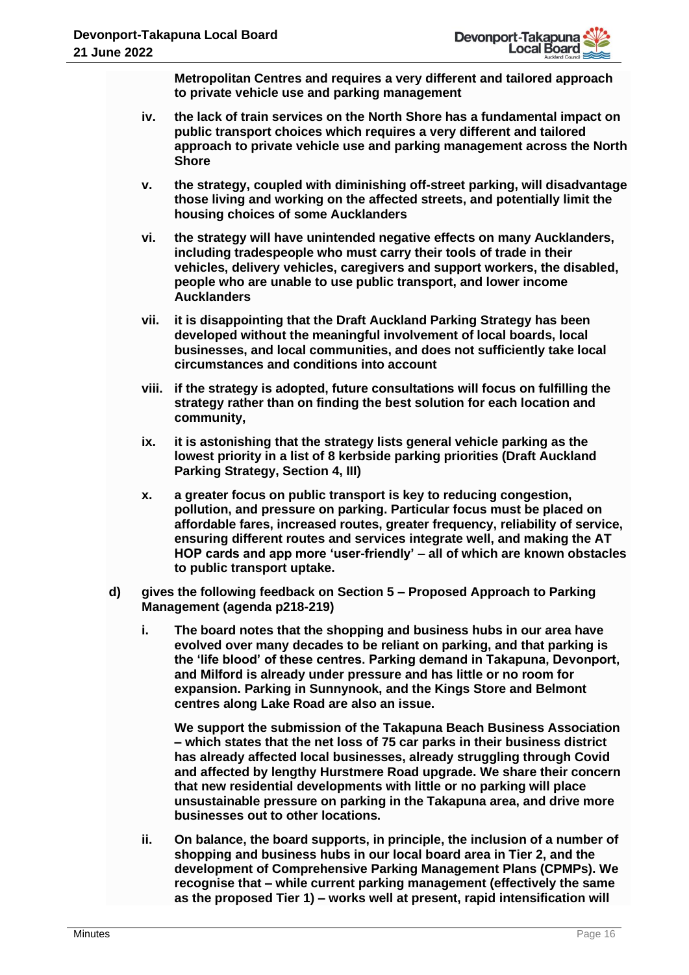**Metropolitan Centres and requires a very different and tailored approach to private vehicle use and parking management** 

- **iv. the lack of train services on the North Shore has a fundamental impact on public transport choices which requires a very different and tailored approach to private vehicle use and parking management across the North Shore**
- **v. the strategy, coupled with diminishing off-street parking, will disadvantage those living and working on the affected streets, and potentially limit the housing choices of some Aucklanders**
- **vi. the strategy will have unintended negative effects on many Aucklanders, including tradespeople who must carry their tools of trade in their vehicles, delivery vehicles, caregivers and support workers, the disabled, people who are unable to use public transport, and lower income Aucklanders**
- **vii. it is disappointing that the Draft Auckland Parking Strategy has been developed without the meaningful involvement of local boards, local businesses, and local communities, and does not sufficiently take local circumstances and conditions into account**
- **viii. if the strategy is adopted, future consultations will focus on fulfilling the strategy rather than on finding the best solution for each location and community,**
- **ix. it is astonishing that the strategy lists general vehicle parking as the lowest priority in a list of 8 kerbside parking priorities (Draft Auckland Parking Strategy, Section 4, III)**
- **x. a greater focus on public transport is key to reducing congestion, pollution, and pressure on parking. Particular focus must be placed on affordable fares, increased routes, greater frequency, reliability of service, ensuring different routes and services integrate well, and making the AT HOP cards and app more 'user-friendly' – all of which are known obstacles to public transport uptake.**
- **d) gives the following feedback on Section 5 – Proposed Approach to Parking Management (agenda p218-219)**
	- **i. The board notes that the shopping and business hubs in our area have evolved over many decades to be reliant on parking, and that parking is the 'life blood' of these centres. Parking demand in Takapuna, Devonport, and Milford is already under pressure and has little or no room for expansion. Parking in Sunnynook, and the Kings Store and Belmont centres along Lake Road are also an issue.**

**We support the submission of the Takapuna Beach Business Association – which states that the net loss of 75 car parks in their business district has already affected local businesses, already struggling through Covid and affected by lengthy Hurstmere Road upgrade. We share their concern that new residential developments with little or no parking will place unsustainable pressure on parking in the Takapuna area, and drive more businesses out to other locations.**

**ii. On balance, the board supports, in principle, the inclusion of a number of shopping and business hubs in our local board area in Tier 2, and the development of Comprehensive Parking Management Plans (CPMPs). We recognise that – while current parking management (effectively the same as the proposed Tier 1) – works well at present, rapid intensification will**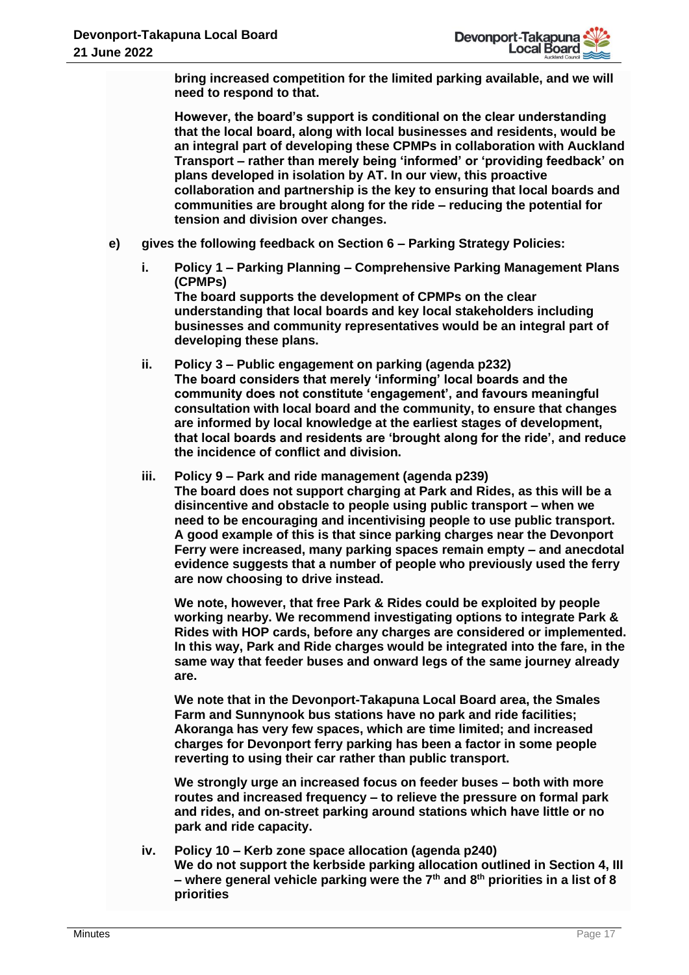**bring increased competition for the limited parking available, and we will need to respond to that.** 

**However, the board's support is conditional on the clear understanding that the local board, along with local businesses and residents, would be an integral part of developing these CPMPs in collaboration with Auckland Transport – rather than merely being 'informed' or 'providing feedback' on plans developed in isolation by AT. In our view, this proactive collaboration and partnership is the key to ensuring that local boards and communities are brought along for the ride – reducing the potential for tension and division over changes.** 

- **e) gives the following feedback on Section 6 – Parking Strategy Policies:**
	- **i. Policy 1 – Parking Planning – Comprehensive Parking Management Plans (CPMPs) The board supports the development of CPMPs on the clear understanding that local boards and key local stakeholders including**

**businesses and community representatives would be an integral part of developing these plans.** 

- **ii. Policy 3 – Public engagement on parking (agenda p232) The board considers that merely 'informing' local boards and the community does not constitute 'engagement', and favours meaningful consultation with local board and the community, to ensure that changes are informed by local knowledge at the earliest stages of development, that local boards and residents are 'brought along for the ride', and reduce the incidence of conflict and division.**
- **iii. Policy 9 – Park and ride management (agenda p239) The board does not support charging at Park and Rides, as this will be a disincentive and obstacle to people using public transport – when we need to be encouraging and incentivising people to use public transport. A good example of this is that since parking charges near the Devonport Ferry were increased, many parking spaces remain empty – and anecdotal evidence suggests that a number of people who previously used the ferry are now choosing to drive instead.**

**We note, however, that free Park & Rides could be exploited by people working nearby. We recommend investigating options to integrate Park & Rides with HOP cards, before any charges are considered or implemented. In this way, Park and Ride charges would be integrated into the fare, in the same way that feeder buses and onward legs of the same journey already are.** 

**We note that in the Devonport-Takapuna Local Board area, the Smales Farm and Sunnynook bus stations have no park and ride facilities; Akoranga has very few spaces, which are time limited; and increased charges for Devonport ferry parking has been a factor in some people reverting to using their car rather than public transport.** 

**We strongly urge an increased focus on feeder buses – both with more routes and increased frequency – to relieve the pressure on formal park and rides, and on-street parking around stations which have little or no park and ride capacity.** 

**iv. Policy 10 – Kerb zone space allocation (agenda p240) We do not support the kerbside parking allocation outlined in Section 4, III – where general vehicle parking were the 7th and 8th priorities in a list of 8 priorities**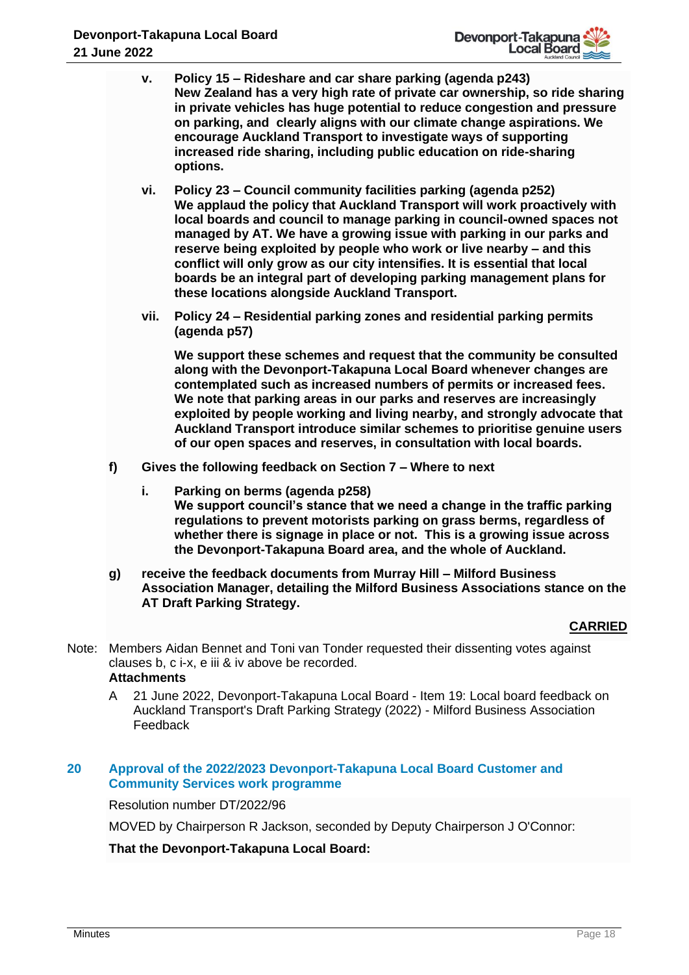- **v. Policy 15 – Rideshare and car share parking (agenda p243) New Zealand has a very high rate of private car ownership, so ride sharing in private vehicles has huge potential to reduce congestion and pressure on parking, and clearly aligns with our climate change aspirations. We encourage Auckland Transport to investigate ways of supporting increased ride sharing, including public education on ride-sharing options.**
- **vi. Policy 23 – Council community facilities parking (agenda p252) We applaud the policy that Auckland Transport will work proactively with local boards and council to manage parking in council-owned spaces not managed by AT. We have a growing issue with parking in our parks and reserve being exploited by people who work or live nearby – and this conflict will only grow as our city intensifies. It is essential that local boards be an integral part of developing parking management plans for these locations alongside Auckland Transport.**
- **vii. Policy 24 – Residential parking zones and residential parking permits (agenda p57)**

**We support these schemes and request that the community be consulted along with the Devonport-Takapuna Local Board whenever changes are contemplated such as increased numbers of permits or increased fees. We note that parking areas in our parks and reserves are increasingly exploited by people working and living nearby, and strongly advocate that Auckland Transport introduce similar schemes to prioritise genuine users of our open spaces and reserves, in consultation with local boards.**

- **f) Gives the following feedback on Section 7 – Where to next** 
	- **i. Parking on berms (agenda p258) We support council's stance that we need a change in the traffic parking regulations to prevent motorists parking on grass berms, regardless of whether there is signage in place or not. This is a growing issue across the Devonport-Takapuna Board area, and the whole of Auckland.**
- **g) receive the feedback documents from Murray Hill – Milford Business Association Manager, detailing the Milford Business Associations stance on the AT Draft Parking Strategy.**

# **CARRIED**

- Note: Members Aidan Bennet and Toni van Tonder requested their dissenting votes against clauses b, c i-x, e iii & iv above be recorded. **Attachments**
	- A 21 June 2022, Devonport-Takapuna Local Board Item 19: Local board feedback on Auckland Transport's Draft Parking Strategy (2022) - Milford Business Association Feedback

# **20 Approval of the 2022/2023 Devonport-Takapuna Local Board Customer and Community Services work programme**

Resolution number DT/2022/96

MOVED by Chairperson R Jackson, seconded by Deputy Chairperson J O'Connor: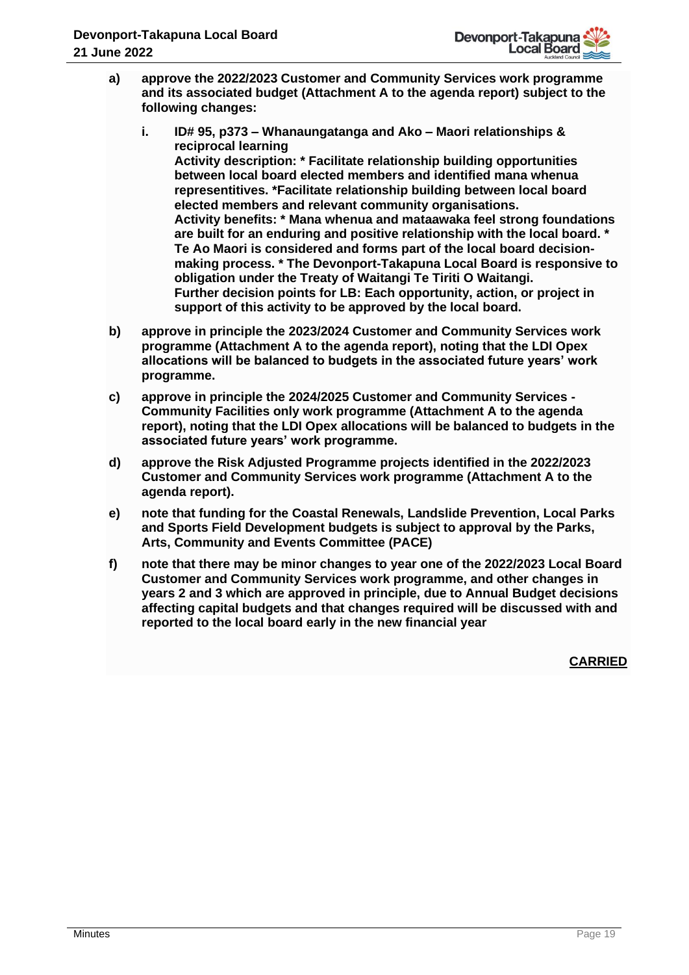

- **a) approve the 2022/2023 Customer and Community Services work programme and its associated budget (Attachment A to the agenda report) subject to the following changes:** 
	- **i. ID# 95, p373 – Whanaungatanga and Ako – Maori relationships & reciprocal learning Activity description: \* Facilitate relationship building opportunities between local board elected members and identified mana whenua representitives. \*Facilitate relationship building between local board elected members and relevant community organisations. Activity benefits: \* Mana whenua and mataawaka feel strong foundations are built for an enduring and positive relationship with the local board. \* Te Ao Maori is considered and forms part of the local board decisionmaking process. \* The Devonport-Takapuna Local Board is responsive to obligation under the Treaty of Waitangi Te Tiriti O Waitangi. Further decision points for LB: Each opportunity, action, or project in support of this activity to be approved by the local board.**
- **b) approve in principle the 2023/2024 Customer and Community Services work programme (Attachment A to the agenda report), noting that the LDI Opex allocations will be balanced to budgets in the associated future years' work programme.**
- **c) approve in principle the 2024/2025 Customer and Community Services - Community Facilities only work programme (Attachment A to the agenda report), noting that the LDI Opex allocations will be balanced to budgets in the associated future years' work programme.**
- **d) approve the Risk Adjusted Programme projects identified in the 2022/2023 Customer and Community Services work programme (Attachment A to the agenda report).**
- **e) note that funding for the Coastal Renewals, Landslide Prevention, Local Parks and Sports Field Development budgets is subject to approval by the Parks, Arts, Community and Events Committee (PACE)**
- **f) note that there may be minor changes to year one of the 2022/2023 Local Board Customer and Community Services work programme, and other changes in years 2 and 3 which are approved in principle, due to Annual Budget decisions affecting capital budgets and that changes required will be discussed with and reported to the local board early in the new financial year**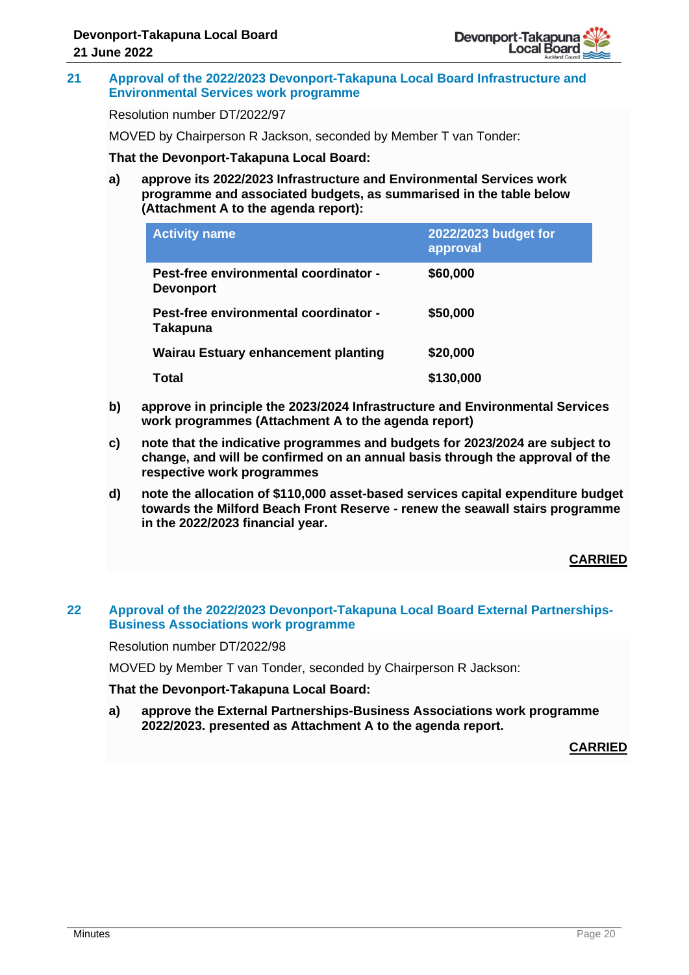

## **21 Approval of the 2022/2023 Devonport-Takapuna Local Board Infrastructure and Environmental Services work programme**

Resolution number DT/2022/97

MOVED by Chairperson R Jackson, seconded by Member T van Tonder:

## **That the Devonport-Takapuna Local Board:**

**a) approve its 2022/2023 Infrastructure and Environmental Services work programme and associated budgets, as summarised in the table below (Attachment A to the agenda report):**

| <b>Activity name</b>                                      | 2022/2023 budget for<br>approval |
|-----------------------------------------------------------|----------------------------------|
| Pest-free environmental coordinator -<br><b>Devonport</b> | \$60,000                         |
| Pest-free environmental coordinator -<br>Takapuna         | \$50,000                         |
| <b>Wairau Estuary enhancement planting</b>                | \$20,000                         |
| Total                                                     | \$130,000                        |

- **b) approve in principle the 2023/2024 Infrastructure and Environmental Services work programmes (Attachment A to the agenda report)**
- **c) note that the indicative programmes and budgets for 2023/2024 are subject to change, and will be confirmed on an annual basis through the approval of the respective work programmes**
- **d) note the allocation of \$110,000 asset-based services capital expenditure budget towards the Milford Beach Front Reserve - renew the seawall stairs programme in the 2022/2023 financial year.**

# **CARRIED**

## **22 Approval of the 2022/2023 Devonport-Takapuna Local Board External Partnerships-Business Associations work programme**

## Resolution number DT/2022/98

MOVED by Member T van Tonder, seconded by Chairperson R Jackson:

**That the Devonport-Takapuna Local Board:**

**a) approve the External Partnerships-Business Associations work programme 2022/2023. presented as Attachment A to the agenda report.**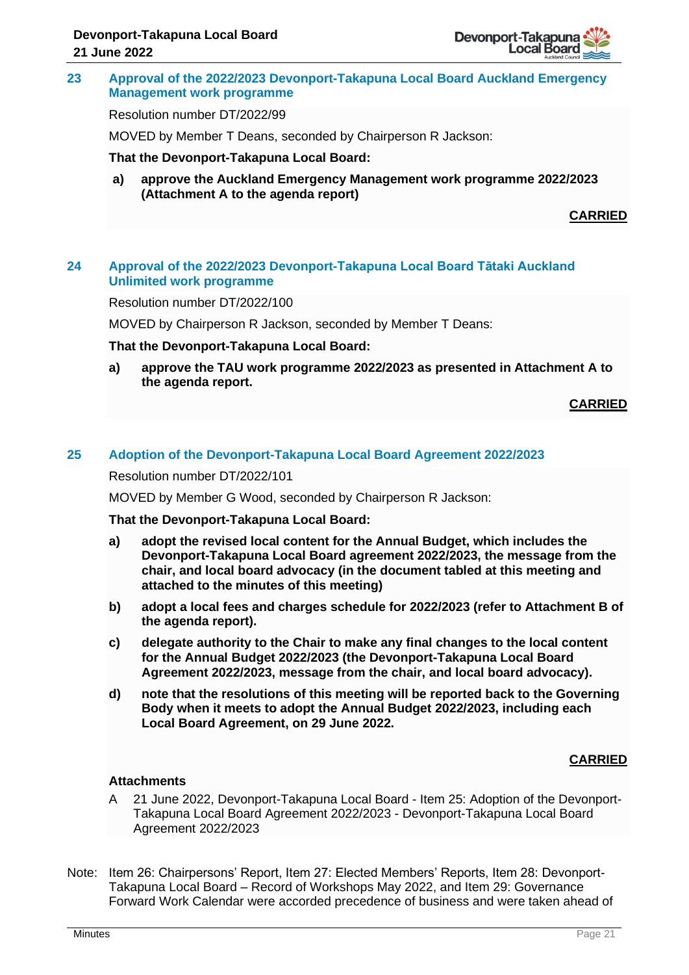## **23 Approval of the 2022/2023 Devonport-Takapuna Local Board Auckland Emergency Management work programme**

Resolution number DT/2022/99

MOVED by Member T Deans, seconded by Chairperson R Jackson:

## **That the Devonport-Takapuna Local Board:**

**a) approve the Auckland Emergency Management work programme 2022/2023 (Attachment A to the agenda report)**

**CARRIED**

## **24 Approval of the 2022/2023 Devonport-Takapuna Local Board Tātaki Auckland Unlimited work programme**

Resolution number DT/2022/100

MOVED by Chairperson R Jackson, seconded by Member T Deans:

#### **That the Devonport-Takapuna Local Board:**

**a) approve the TAU work programme 2022/2023 as presented in Attachment A to the agenda report.**

**CARRIED**

## **25 Adoption of the Devonport-Takapuna Local Board Agreement 2022/2023**

Resolution number DT/2022/101

MOVED by Member G Wood, seconded by Chairperson R Jackson:

## **That the Devonport-Takapuna Local Board:**

- **a) adopt the revised local content for the Annual Budget, which includes the Devonport-Takapuna Local Board agreement 2022/2023, the message from the chair, and local board advocacy (in the document tabled at this meeting and attached to the minutes of this meeting)**
- **b) adopt a local fees and charges schedule for 2022/2023 (refer to Attachment B of the agenda report).**
- **c) delegate authority to the Chair to make any final changes to the local content for the Annual Budget 2022/2023 (the Devonport-Takapuna Local Board Agreement 2022/2023, message from the chair, and local board advocacy).**
- **d) note that the resolutions of this meeting will be reported back to the Governing Body when it meets to adopt the Annual Budget 2022/2023, including each Local Board Agreement, on 29 June 2022.**

# **CARRIED**

# **Attachments**

- A 21 June 2022, Devonport-Takapuna Local Board Item 25: Adoption of the Devonport-Takapuna Local Board Agreement 2022/2023 - Devonport-Takapuna Local Board Agreement 2022/2023
- Note: Item 26: Chairpersons' Report, Item 27: Elected Members' Reports, Item 28: Devonport-Takapuna Local Board – Record of Workshops May 2022, and Item 29: Governance Forward Work Calendar were accorded precedence of business and were taken ahead of